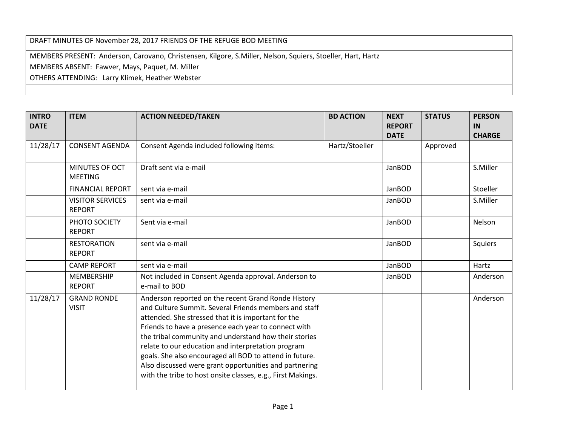## DRAFT MINUTES OF November 28, 2017 FRIENDS OF THE REFUGE BOD MEETING

MEMBERS PRESENT: Anderson, Carovano, Christensen, Kilgore, S.Miller, Nelson, Squiers, Stoeller, Hart, Hartz

MEMBERS ABSENT: Fawver, Mays, Paquet, M. Miller

OTHERS ATTENDING: Larry Klimek, Heather Webster

| <b>INTRO</b><br><b>DATE</b> | <b>ITEM</b>                              | <b>ACTION NEEDED/TAKEN</b>                                                                                                                                                                                                                                                                                                                                                                                                                                                                                                     | <b>BD ACTION</b> | <b>NEXT</b><br><b>REPORT</b><br><b>DATE</b> | <b>STATUS</b> | <b>PERSON</b><br>IN<br><b>CHARGE</b> |
|-----------------------------|------------------------------------------|--------------------------------------------------------------------------------------------------------------------------------------------------------------------------------------------------------------------------------------------------------------------------------------------------------------------------------------------------------------------------------------------------------------------------------------------------------------------------------------------------------------------------------|------------------|---------------------------------------------|---------------|--------------------------------------|
| 11/28/17                    | <b>CONSENT AGENDA</b>                    | Consent Agenda included following items:                                                                                                                                                                                                                                                                                                                                                                                                                                                                                       | Hartz/Stoeller   |                                             | Approved      |                                      |
|                             | MINUTES OF OCT<br><b>MEETING</b>         | Draft sent via e-mail                                                                                                                                                                                                                                                                                                                                                                                                                                                                                                          |                  | JanBOD                                      |               | S.Miller                             |
|                             | <b>FINANCIAL REPORT</b>                  | sent via e-mail                                                                                                                                                                                                                                                                                                                                                                                                                                                                                                                |                  | JanBOD                                      |               | Stoeller                             |
|                             | <b>VISITOR SERVICES</b><br><b>REPORT</b> | sent via e-mail                                                                                                                                                                                                                                                                                                                                                                                                                                                                                                                |                  | JanBOD                                      |               | S.Miller                             |
|                             | PHOTO SOCIETY<br><b>REPORT</b>           | Sent via e-mail                                                                                                                                                                                                                                                                                                                                                                                                                                                                                                                |                  | JanBOD                                      |               | Nelson                               |
|                             | <b>RESTORATION</b><br><b>REPORT</b>      | sent via e-mail                                                                                                                                                                                                                                                                                                                                                                                                                                                                                                                |                  | JanBOD                                      |               | Squiers                              |
|                             | <b>CAMP REPORT</b>                       | sent via e-mail                                                                                                                                                                                                                                                                                                                                                                                                                                                                                                                |                  | JanBOD                                      |               | Hartz                                |
|                             | <b>MEMBERSHIP</b><br><b>REPORT</b>       | Not included in Consent Agenda approval. Anderson to<br>e-mail to BOD                                                                                                                                                                                                                                                                                                                                                                                                                                                          |                  | JanBOD                                      |               | Anderson                             |
| 11/28/17                    | <b>GRAND RONDE</b><br><b>VISIT</b>       | Anderson reported on the recent Grand Ronde History<br>and Culture Summit. Several Friends members and staff<br>attended. She stressed that it is important for the<br>Friends to have a presence each year to connect with<br>the tribal community and understand how their stories<br>relate to our education and interpretation program<br>goals. She also encouraged all BOD to attend in future.<br>Also discussed were grant opportunities and partnering<br>with the tribe to host onsite classes, e.g., First Makings. |                  |                                             |               | Anderson                             |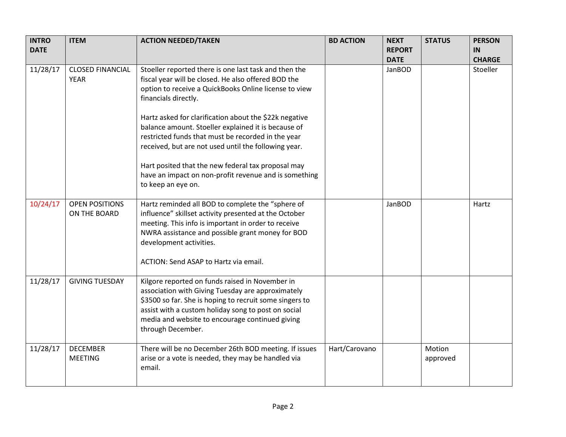| <b>INTRO</b><br><b>DATE</b> | <b>ITEM</b>                            | <b>ACTION NEEDED/TAKEN</b>                                                                                                                                                                                                                                                                                                                                                                                                                                                                                                                  | <b>BD ACTION</b> | <b>NEXT</b><br><b>REPORT</b> | <b>STATUS</b>      | <b>PERSON</b><br><b>IN</b> |
|-----------------------------|----------------------------------------|---------------------------------------------------------------------------------------------------------------------------------------------------------------------------------------------------------------------------------------------------------------------------------------------------------------------------------------------------------------------------------------------------------------------------------------------------------------------------------------------------------------------------------------------|------------------|------------------------------|--------------------|----------------------------|
|                             |                                        |                                                                                                                                                                                                                                                                                                                                                                                                                                                                                                                                             |                  | <b>DATE</b>                  |                    | <b>CHARGE</b>              |
| 11/28/17                    | <b>CLOSED FINANCIAL</b><br><b>YEAR</b> | Stoeller reported there is one last task and then the<br>fiscal year will be closed. He also offered BOD the<br>option to receive a QuickBooks Online license to view<br>financials directly.<br>Hartz asked for clarification about the \$22k negative<br>balance amount. Stoeller explained it is because of<br>restricted funds that must be recorded in the year<br>received, but are not used until the following year.<br>Hart posited that the new federal tax proposal may<br>have an impact on non-profit revenue and is something |                  | JanBOD                       |                    | Stoeller                   |
|                             |                                        | to keep an eye on.                                                                                                                                                                                                                                                                                                                                                                                                                                                                                                                          |                  |                              |                    |                            |
| 10/24/17                    | <b>OPEN POSITIONS</b><br>ON THE BOARD  | Hartz reminded all BOD to complete the "sphere of<br>influence" skillset activity presented at the October<br>meeting. This info is important in order to receive<br>NWRA assistance and possible grant money for BOD<br>development activities.<br>ACTION: Send ASAP to Hartz via email.                                                                                                                                                                                                                                                   |                  | JanBOD                       |                    | Hartz                      |
| 11/28/17                    | <b>GIVING TUESDAY</b>                  | Kilgore reported on funds raised in November in<br>association with Giving Tuesday are approximately<br>\$3500 so far. She is hoping to recruit some singers to<br>assist with a custom holiday song to post on social<br>media and website to encourage continued giving<br>through December.                                                                                                                                                                                                                                              |                  |                              |                    |                            |
| 11/28/17                    | <b>DECEMBER</b><br><b>MEETING</b>      | There will be no December 26th BOD meeting. If issues<br>arise or a vote is needed, they may be handled via<br>email.                                                                                                                                                                                                                                                                                                                                                                                                                       | Hart/Carovano    |                              | Motion<br>approved |                            |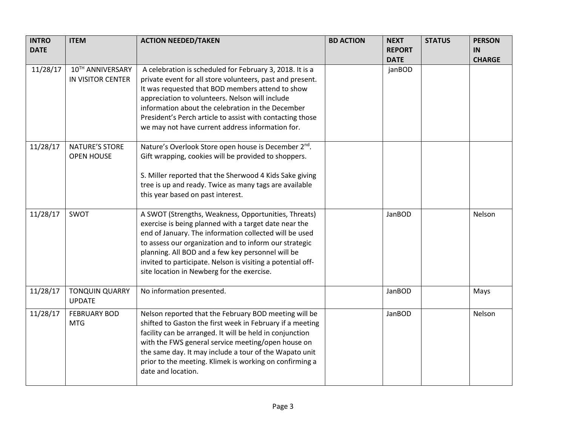| <b>INTRO</b><br><b>DATE</b> | <b>ITEM</b>                                  | <b>ACTION NEEDED/TAKEN</b>                                                                                                                                                                                                                                                                                                                                                                          | <b>BD ACTION</b> | <b>NEXT</b><br><b>REPORT</b><br><b>DATE</b> | <b>STATUS</b> | <b>PERSON</b><br>IN<br><b>CHARGE</b> |
|-----------------------------|----------------------------------------------|-----------------------------------------------------------------------------------------------------------------------------------------------------------------------------------------------------------------------------------------------------------------------------------------------------------------------------------------------------------------------------------------------------|------------------|---------------------------------------------|---------------|--------------------------------------|
| 11/28/17                    | 10TH ANNIVERSARY<br><b>IN VISITOR CENTER</b> | A celebration is scheduled for February 3, 2018. It is a<br>private event for all store volunteers, past and present.<br>It was requested that BOD members attend to show<br>appreciation to volunteers. Nelson will include<br>information about the celebration in the December<br>President's Perch article to assist with contacting those<br>we may not have current address information for.  |                  | janBOD                                      |               |                                      |
| 11/28/17                    | NATURE'S STORE<br><b>OPEN HOUSE</b>          | Nature's Overlook Store open house is December 2 <sup>nd</sup> .<br>Gift wrapping, cookies will be provided to shoppers.<br>S. Miller reported that the Sherwood 4 Kids Sake giving<br>tree is up and ready. Twice as many tags are available<br>this year based on past interest.                                                                                                                  |                  |                                             |               |                                      |
| 11/28/17                    | SWOT                                         | A SWOT (Strengths, Weakness, Opportunities, Threats)<br>exercise is being planned with a target date near the<br>end of January. The information collected will be used<br>to assess our organization and to inform our strategic<br>planning. All BOD and a few key personnel will be<br>invited to participate. Nelson is visiting a potential off-<br>site location in Newberg for the exercise. |                  | JanBOD                                      |               | Nelson                               |
| 11/28/17                    | <b>TONQUIN QUARRY</b><br><b>UPDATE</b>       | No information presented.                                                                                                                                                                                                                                                                                                                                                                           |                  | JanBOD                                      |               | Mays                                 |
| 11/28/17                    | <b>FEBRUARY BOD</b><br><b>MTG</b>            | Nelson reported that the February BOD meeting will be<br>shifted to Gaston the first week in February if a meeting<br>facility can be arranged. It will be held in conjunction<br>with the FWS general service meeting/open house on<br>the same day. It may include a tour of the Wapato unit<br>prior to the meeting. Klimek is working on confirming a<br>date and location.                     |                  | JanBOD                                      |               | Nelson                               |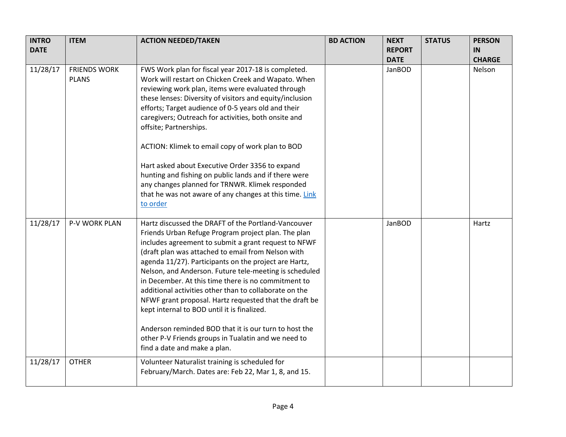| <b>INTRO</b><br><b>DATE</b> | <b>ITEM</b>                         | <b>ACTION NEEDED/TAKEN</b>                                                                                                                                                                                                                                                                                                                                                                                                                                                                                                                                                                                                                                                                                            | <b>BD ACTION</b> | <b>NEXT</b><br><b>REPORT</b> | <b>STATUS</b> | <b>PERSON</b><br>IN |
|-----------------------------|-------------------------------------|-----------------------------------------------------------------------------------------------------------------------------------------------------------------------------------------------------------------------------------------------------------------------------------------------------------------------------------------------------------------------------------------------------------------------------------------------------------------------------------------------------------------------------------------------------------------------------------------------------------------------------------------------------------------------------------------------------------------------|------------------|------------------------------|---------------|---------------------|
|                             |                                     |                                                                                                                                                                                                                                                                                                                                                                                                                                                                                                                                                                                                                                                                                                                       |                  | <b>DATE</b>                  |               | <b>CHARGE</b>       |
| 11/28/17                    | <b>FRIENDS WORK</b><br><b>PLANS</b> | FWS Work plan for fiscal year 2017-18 is completed.<br>Work will restart on Chicken Creek and Wapato. When<br>reviewing work plan, items were evaluated through<br>these lenses: Diversity of visitors and equity/inclusion<br>efforts; Target audience of 0-5 years old and their<br>caregivers; Outreach for activities, both onsite and<br>offsite; Partnerships.<br>ACTION: Klimek to email copy of work plan to BOD<br>Hart asked about Executive Order 3356 to expand<br>hunting and fishing on public lands and if there were<br>any changes planned for TRNWR. Klimek responded<br>that he was not aware of any changes at this time. Link<br>to order                                                        |                  | JanBOD                       |               | Nelson              |
| 11/28/17                    | P-V WORK PLAN                       | Hartz discussed the DRAFT of the Portland-Vancouver<br>Friends Urban Refuge Program project plan. The plan<br>includes agreement to submit a grant request to NFWF<br>(draft plan was attached to email from Nelson with<br>agenda 11/27). Participants on the project are Hartz,<br>Nelson, and Anderson. Future tele-meeting is scheduled<br>in December. At this time there is no commitment to<br>additional activities other than to collaborate on the<br>NFWF grant proposal. Hartz requested that the draft be<br>kept internal to BOD until it is finalized.<br>Anderson reminded BOD that it is our turn to host the<br>other P-V Friends groups in Tualatin and we need to<br>find a date and make a plan. |                  | JanBOD                       |               | Hartz               |
| 11/28/17                    | <b>OTHER</b>                        | Volunteer Naturalist training is scheduled for<br>February/March. Dates are: Feb 22, Mar 1, 8, and 15.                                                                                                                                                                                                                                                                                                                                                                                                                                                                                                                                                                                                                |                  |                              |               |                     |